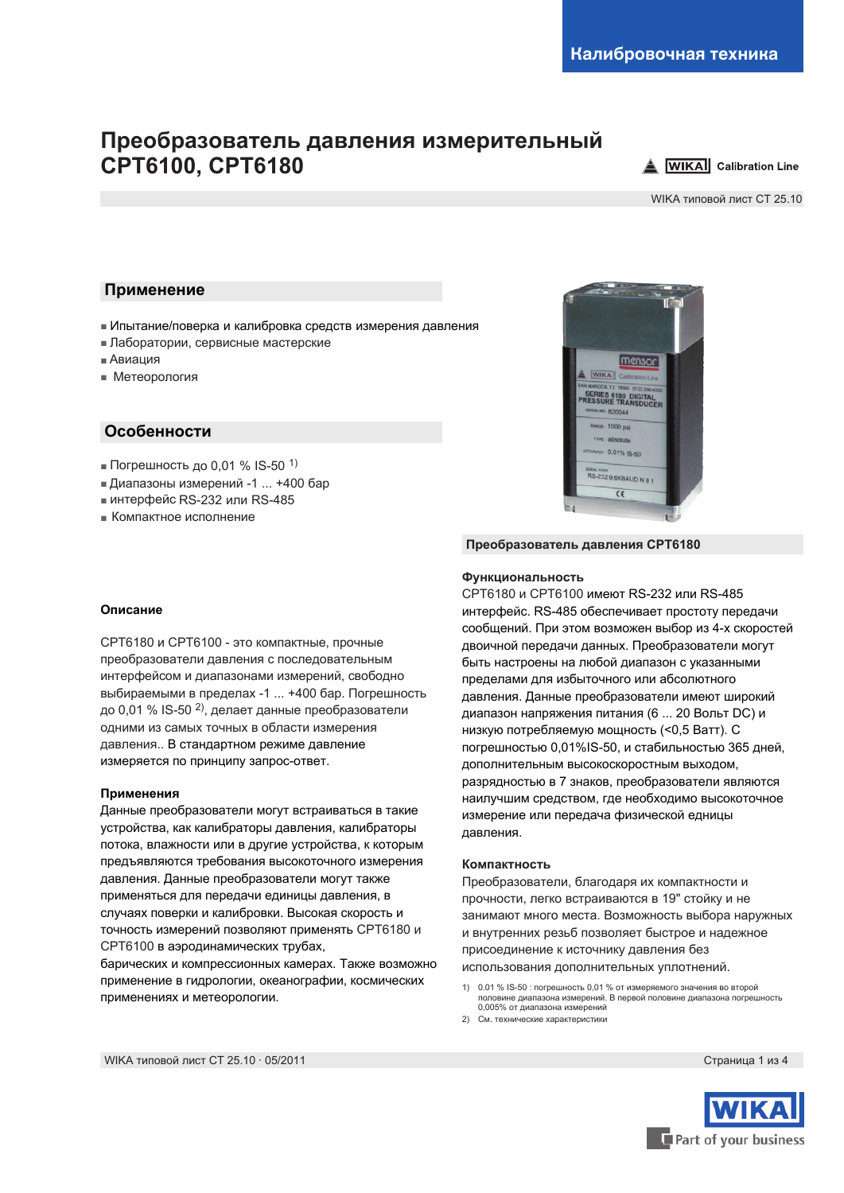# **Преобразователь давления измерительный CPT6100, CPT6180**



WIKA типовой лист CT 25.10

### **Применение**

- Ипытание/поверка и калибровка средств измерения давления
- Лаборатории, сервисные мастерские
- Авиация
- Метеорология

### **Особенности**

- Погрешность до 0,01 % IS-50 <sup>1)</sup>
- Диапазоны измерений -1 ... +400 бар
- интерфейс RS-232 или RS-485
- Компактное исполнение



#### **Описание**

CPT6180 и CPT6100 - это компактные, прочные преобразователи давления с последовательным интерфейсом и диапазонами измерений, свободно выбираемыми в пределах -1 ... +400 бар. Погрешность до 0,01 % IS-50 <sup>2)</sup>, делает данные преобразователи одними из самых точных в области измерения давления.. В стандартном режиме давление измеряется по принципу запрос-ответ.

#### **Применения**

Данные преобразователи могут встраиваться в такие устройства, как калибраторы давления, калибраторы потока, влажности или в другие устройства, к которым предъявляются требования высокоточного измерения давления. Данные преобразователи могут также применяться для передачи единицы давления, в случаях поверки и калибровки. Высокая скорость и точность измерений позволяют применять CPT6180 и CPT6100 в аэродинамических трубах,

барических и компрессионных камерах. Также возможно применение в гидрологии, океанографии, космических применениях и метеорологии.

#### **Преобразователь давления CPT6180**

#### **Функциональность**

CPT6180 и CPT6100 имеют RS-232 или RS-485 интерфейс. RS-485 обеспечивает простоту передачи сообщений. При этом возможен выбор из 4-х скоростей двоичной передачи данных. Преобразователи могут быть настроены на любой диапазон с указанными пределами для избыточного или абсолютного давления. Данные преобразователи имеют широкий диапазон напряжения питания (6 ... 20 Вольт DC) и низкую потребляемую мощность (<0,5 Ватт). С погрешностью 0,01%IS-50, и стабильностью 365 дней, дополнительным высокоскоростным выходом, разрядностью в 7 знаков, преобразователи являются наилучшим средством, где необходимо высокоточное измерение или передача физической едницы давления.

#### **Компактность**

Преобразователи, благодаря их компактности и прочности, легко встраиваются в 19" стойку и не занимают много места. Возможность выбора наружных и внутренних резьб позволяет быстрое и надежное присоединение к источнику давления без использования дополнительных уплотнений.

- 1) 0.01 % IS-50 : погрешность 0,01 % от измеряемого значения во второй половине диапазона измерений. В первой половине диапазона погрешность 0,005% от диапазона измерений
- 2) См. технические характеристики

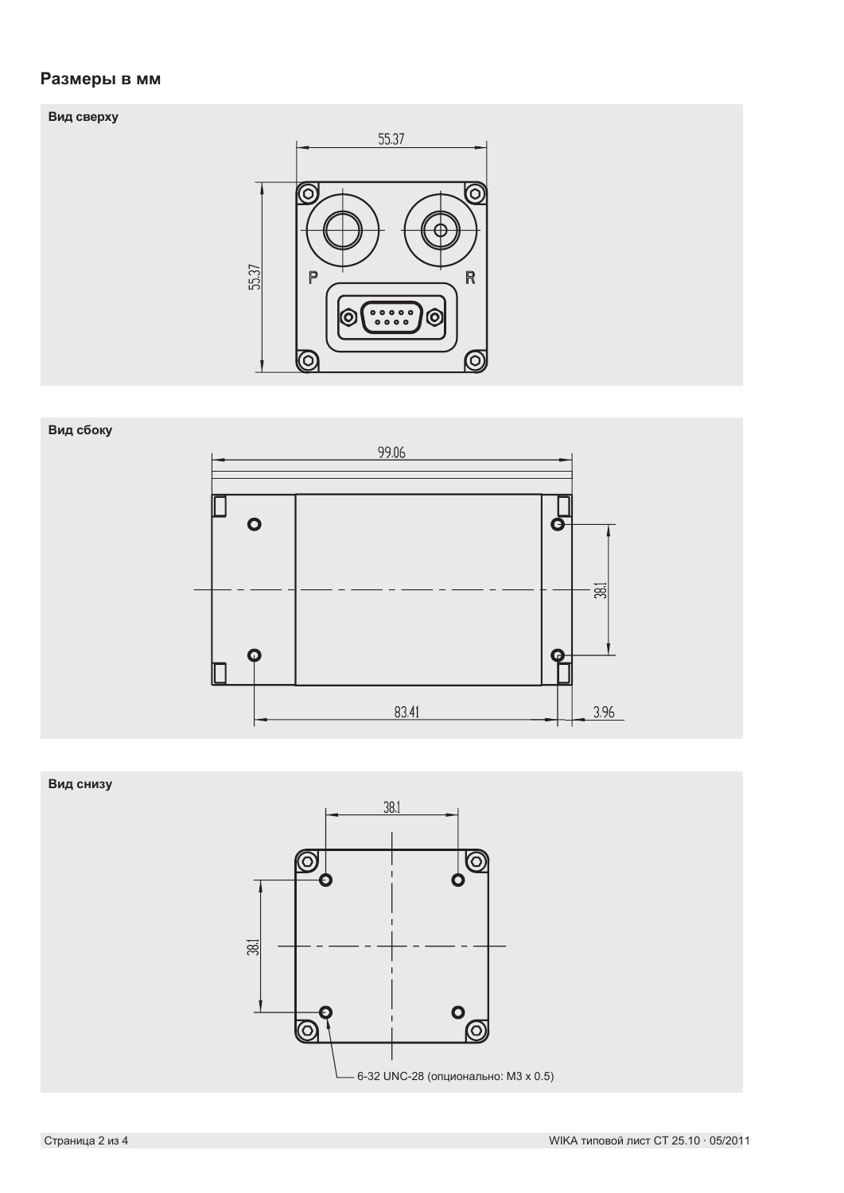# **Размеры в мм**





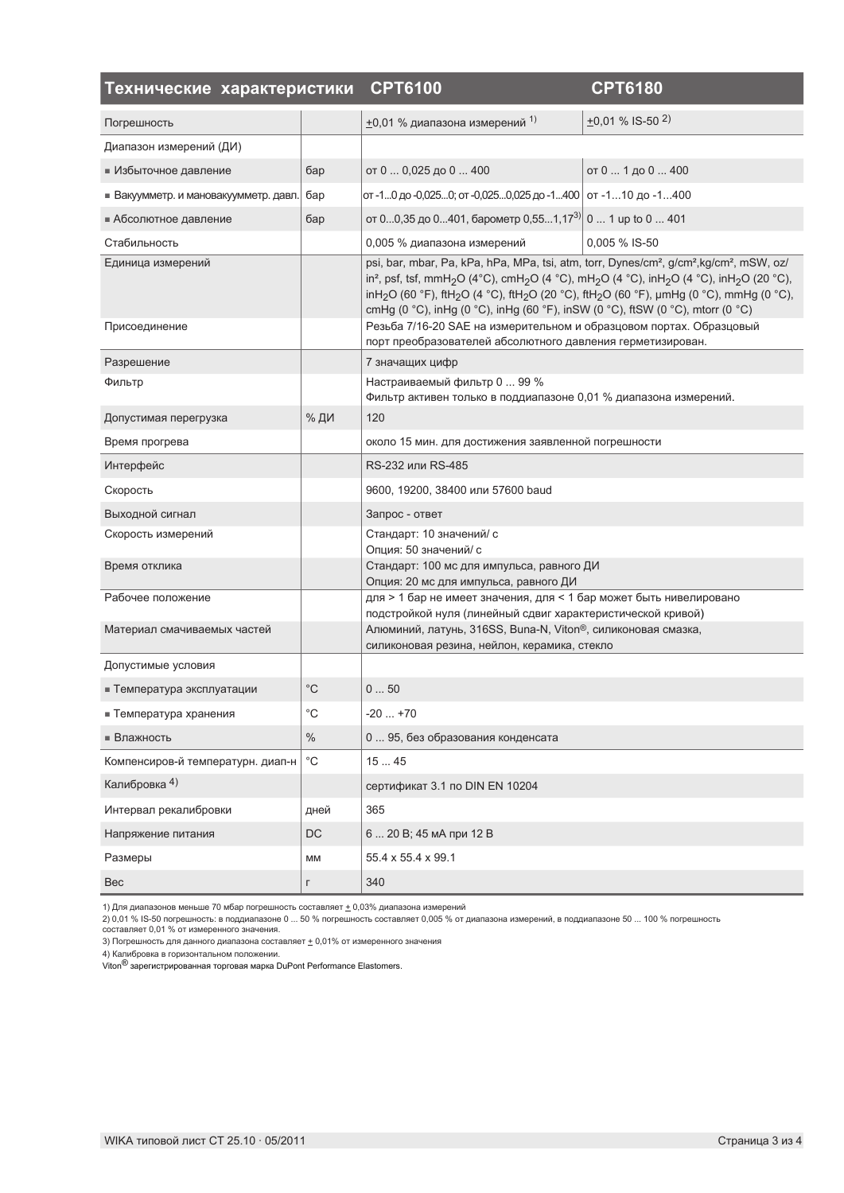| Технические характеристики            |                   | <b>CPT6100</b>                                                                                                                                                                                                                                                                                                                                                                                                                                                                                                                  | <b>CPT6180</b>                    |
|---------------------------------------|-------------------|---------------------------------------------------------------------------------------------------------------------------------------------------------------------------------------------------------------------------------------------------------------------------------------------------------------------------------------------------------------------------------------------------------------------------------------------------------------------------------------------------------------------------------|-----------------------------------|
| Погрешность                           |                   | $\pm$ 0,01 % диапазона измерений 1)                                                                                                                                                                                                                                                                                                                                                                                                                                                                                             | $\pm 0.01$ % IS-50 <sup>2</sup> ) |
| Диапазон измерений (ДИ)               |                   |                                                                                                                                                                                                                                                                                                                                                                                                                                                                                                                                 |                                   |
| ■ Избыточное давление                 | бар               | от 0  0,025 до 0  400                                                                                                                                                                                                                                                                                                                                                                                                                                                                                                           | от 0  1 до 0  400                 |
| • Вакуумметр. и мановакуумметр. давл. | бар               | от -10 до -0,0250; от -0,0250,025 до -1400   от -110 до -1400                                                                                                                                                                                                                                                                                                                                                                                                                                                                   |                                   |
| ■ Абсолютное давление                 | бар               | от 00,35 до 0401, барометр 0,551,173)                                                                                                                                                                                                                                                                                                                                                                                                                                                                                           | 0  1 up to 0  401                 |
| Стабильность                          |                   | 0,005 % диапазона измерений                                                                                                                                                                                                                                                                                                                                                                                                                                                                                                     | 0,005 % IS-50                     |
| Единица измерений                     |                   | psi, bar, mbar, Pa, kPa, hPa, MPa, tsi, atm, torr, Dynes/cm <sup>2</sup> , g/cm <sup>2</sup> , kg/cm <sup>2</sup> , mSW, oz/<br>in <sup>2</sup> , psf, tsf, mmH <sub>2</sub> O (4°C), cmH <sub>2</sub> O (4 °C), mH <sub>2</sub> O (4 °C), inH <sub>2</sub> O (4 °C), inH <sub>2</sub> O (20 °C),<br>inH <sub>2</sub> O (60 °F), ftH <sub>2</sub> O (4 °C), ftH <sub>2</sub> O (20 °C), ftH <sub>2</sub> O (60 °F), µmHg (0 °C), mmHg (0 °C),<br>cmHg (0 °C), inHg (0 °C), inHg (60 °F), inSW (0 °C), ftSW (0 °C), mtorr (0 °C) |                                   |
| Присоединение                         |                   | Резьба 7/16-20 SAE на измерительном и образцовом портах. Образцовый<br>порт преобразователей абсолютного давления герметизирован.                                                                                                                                                                                                                                                                                                                                                                                               |                                   |
| Разрешение                            |                   | 7 значащих цифр                                                                                                                                                                                                                                                                                                                                                                                                                                                                                                                 |                                   |
| Фильтр                                |                   | Настраиваемый фильтр 0  99 %<br>Фильтр активен только в поддиапазоне 0,01 % диапазона измерений.                                                                                                                                                                                                                                                                                                                                                                                                                                |                                   |
| Допустимая перегрузка                 | % ДИ              | 120                                                                                                                                                                                                                                                                                                                                                                                                                                                                                                                             |                                   |
| Время прогрева                        |                   | около 15 мин. для достижения заявленной погрешности                                                                                                                                                                                                                                                                                                                                                                                                                                                                             |                                   |
| Интерфейс                             |                   | RS-232 или RS-485                                                                                                                                                                                                                                                                                                                                                                                                                                                                                                               |                                   |
| Скорость                              |                   | 9600, 19200, 38400 или 57600 baud                                                                                                                                                                                                                                                                                                                                                                                                                                                                                               |                                   |
| Выходной сигнал                       |                   | Запрос - ответ                                                                                                                                                                                                                                                                                                                                                                                                                                                                                                                  |                                   |
| Скорость измерений                    |                   | Стандарт: 10 значений/ с<br>Опция: 50 значений/ с                                                                                                                                                                                                                                                                                                                                                                                                                                                                               |                                   |
| Время отклика                         |                   | Стандарт: 100 мс для импульса, равного ДИ<br>Опция: 20 мс для импульса, равного ДИ                                                                                                                                                                                                                                                                                                                                                                                                                                              |                                   |
| Рабочее положение                     |                   | для > 1 бар не имеет значения, для < 1 бар может быть нивелировано<br>подстройкой нуля (линейный сдвиг характеристической кривой)                                                                                                                                                                                                                                                                                                                                                                                               |                                   |
| Материал смачиваемых частей           |                   | Алюминий, латунь, 316SS, Buna-N, Viton®, силиконовая смазка,<br>силиконовая резина, нейлон, керамика, стекло                                                                                                                                                                                                                                                                                                                                                                                                                    |                                   |
| Допустимые условия                    |                   |                                                                                                                                                                                                                                                                                                                                                                                                                                                                                                                                 |                                   |
| ■ Температура эксплуатации            | $^{\circ}{\rm C}$ | 050                                                                                                                                                                                                                                                                                                                                                                                                                                                                                                                             |                                   |
| ■ Температура хранения                | $^{\circ}C$       | $-20+70$                                                                                                                                                                                                                                                                                                                                                                                                                                                                                                                        |                                   |
| ■ Влажность                           | $\%$              | 0  95, без образования конденсата                                                                                                                                                                                                                                                                                                                                                                                                                                                                                               |                                   |
| Компенсиров-й температурн. диап-н     | $^{\circ}{\rm C}$ | 1545                                                                                                                                                                                                                                                                                                                                                                                                                                                                                                                            |                                   |
| Калибровка 4)                         |                   | сертификат 3.1 по DIN EN 10204                                                                                                                                                                                                                                                                                                                                                                                                                                                                                                  |                                   |
| Интервал рекалибровки                 | дней              | 365                                                                                                                                                                                                                                                                                                                                                                                                                                                                                                                             |                                   |
| Напряжение питания                    | DC                | 6  20 В; 45 мА при 12 В                                                                                                                                                                                                                                                                                                                                                                                                                                                                                                         |                                   |
| Размеры                               | MM                | 55.4 x 55.4 x 99.1                                                                                                                                                                                                                                                                                                                                                                                                                                                                                                              |                                   |
| Bec                                   | г                 | 340                                                                                                                                                                                                                                                                                                                                                                                                                                                                                                                             |                                   |

1) Для диапазонов меньше 70 мбар погрешность составляет  $\pm$  0,03% диапазона измерений

2) 0,01 % IS-50 погрешность: в поддиапазоне 0 … 50 % погрешность составляет 0,005 % от диапазона измерений, в поддиапазоне 50 … 100 % погрешность<br>составляет 0,01 % от измеренного значения.

3) Погрешность для данного диапазона составляет  $\pm$  0,01% от измеренного значения

4) Калибровка в горизонтальном положении.<br>Viton<sup>®</sup> зарегистрированная торговая марка DuPont Performance Elastomers.